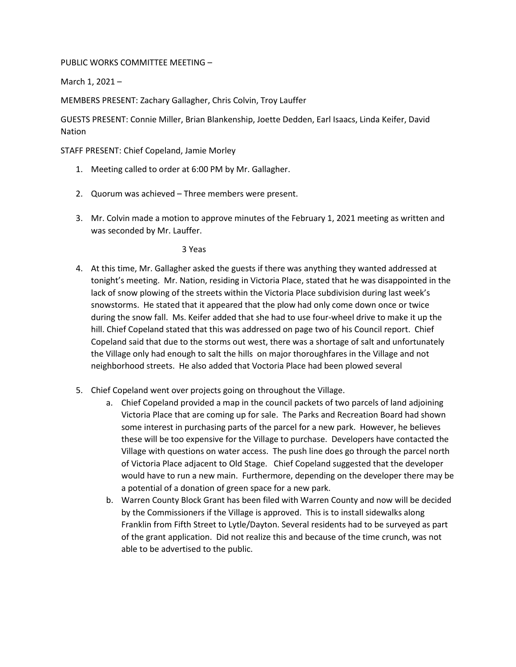PUBLIC WORKS COMMITTEE MEETING –

March 1, 2021 –

MEMBERS PRESENT: Zachary Gallagher, Chris Colvin, Troy Lauffer

GUESTS PRESENT: Connie Miller, Brian Blankenship, Joette Dedden, Earl Isaacs, Linda Keifer, David Nation

STAFF PRESENT: Chief Copeland, Jamie Morley

- 1. Meeting called to order at 6:00 PM by Mr. Gallagher.
- 2. Quorum was achieved Three members were present.
- 3. Mr. Colvin made a motion to approve minutes of the February 1, 2021 meeting as written and was seconded by Mr. Lauffer.

3 Yeas

- 4. At this time, Mr. Gallagher asked the guests if there was anything they wanted addressed at tonight's meeting. Mr. Nation, residing in Victoria Place, stated that he was disappointed in the lack of snow plowing of the streets within the Victoria Place subdivision during last week's snowstorms. He stated that it appeared that the plow had only come down once or twice during the snow fall. Ms. Keifer added that she had to use four-wheel drive to make it up the hill. Chief Copeland stated that this was addressed on page two of his Council report. Chief Copeland said that due to the storms out west, there was a shortage of salt and unfortunately the Village only had enough to salt the hills on major thoroughfares in the Village and not neighborhood streets. He also added that Voctoria Place had been plowed several
- 5. Chief Copeland went over projects going on throughout the Village.
	- a. Chief Copeland provided a map in the council packets of two parcels of land adjoining Victoria Place that are coming up for sale. The Parks and Recreation Board had shown some interest in purchasing parts of the parcel for a new park. However, he believes these will be too expensive for the Village to purchase. Developers have contacted the Village with questions on water access. The push line does go through the parcel north of Victoria Place adjacent to Old Stage. Chief Copeland suggested that the developer would have to run a new main. Furthermore, depending on the developer there may be a potential of a donation of green space for a new park.
	- b. Warren County Block Grant has been filed with Warren County and now will be decided by the Commissioners if the Village is approved. This is to install sidewalks along Franklin from Fifth Street to Lytle/Dayton. Several residents had to be surveyed as part of the grant application. Did not realize this and because of the time crunch, was not able to be advertised to the public.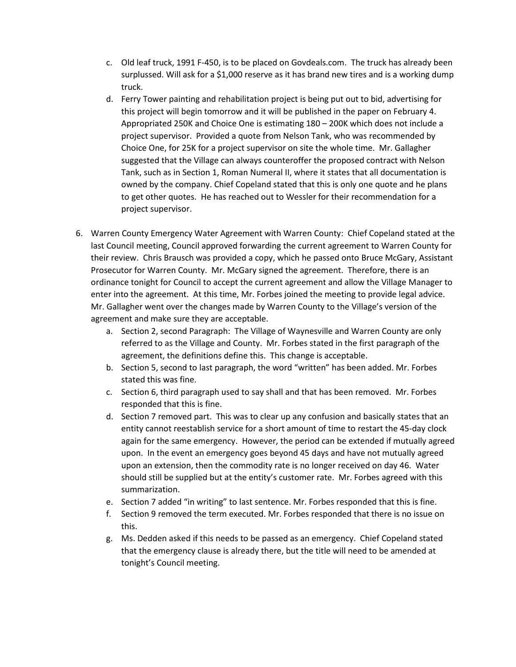- c. Old leaf truck, 1991 F-450, is to be placed on Govdeals.com. The truck has already been surplussed. Will ask for a \$1,000 reserve as it has brand new tires and is a working dump truck.
- d. Ferry Tower painting and rehabilitation project is being put out to bid, advertising for this project will begin tomorrow and it will be published in the paper on February 4. Appropriated 250K and Choice One is estimating 180 – 200K which does not include a project supervisor. Provided a quote from Nelson Tank, who was recommended by Choice One, for 25K for a project supervisor on site the whole time. Mr. Gallagher suggested that the Village can always counteroffer the proposed contract with Nelson Tank, such as in Section 1, Roman Numeral II, where it states that all documentation is owned by the company. Chief Copeland stated that this is only one quote and he plans to get other quotes. He has reached out to Wessler for their recommendation for a project supervisor.
- 6. Warren County Emergency Water Agreement with Warren County: Chief Copeland stated at the last Council meeting, Council approved forwarding the current agreement to Warren County for their review. Chris Brausch was provided a copy, which he passed onto Bruce McGary, Assistant Prosecutor for Warren County. Mr. McGary signed the agreement. Therefore, there is an ordinance tonight for Council to accept the current agreement and allow the Village Manager to enter into the agreement. At this time, Mr. Forbes joined the meeting to provide legal advice. Mr. Gallagher went over the changes made by Warren County to the Village's version of the agreement and make sure they are acceptable.
	- a. Section 2, second Paragraph: The Village of Waynesville and Warren County are only referred to as the Village and County. Mr. Forbes stated in the first paragraph of the agreement, the definitions define this. This change is acceptable.
	- b. Section 5, second to last paragraph, the word "written" has been added. Mr. Forbes stated this was fine.
	- c. Section 6, third paragraph used to say shall and that has been removed. Mr. Forbes responded that this is fine.
	- d. Section 7 removed part. This was to clear up any confusion and basically states that an entity cannot reestablish service for a short amount of time to restart the 45-day clock again for the same emergency. However, the period can be extended if mutually agreed upon. In the event an emergency goes beyond 45 days and have not mutually agreed upon an extension, then the commodity rate is no longer received on day 46. Water should still be supplied but at the entity's customer rate. Mr. Forbes agreed with this summarization.
	- e. Section 7 added "in writing" to last sentence. Mr. Forbes responded that this is fine.
	- f. Section 9 removed the term executed. Mr. Forbes responded that there is no issue on this.
	- g. Ms. Dedden asked if this needs to be passed as an emergency. Chief Copeland stated that the emergency clause is already there, but the title will need to be amended at tonight's Council meeting.